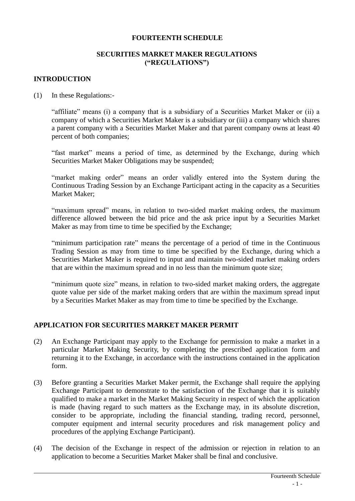#### **FOURTEENTH SCHEDULE**

## **SECURITIES MARKET MAKER REGULATIONS ("REGULATIONS")**

### **INTRODUCTION**

(1) In these Regulations:-

"affiliate" means (i) a company that is a subsidiary of a Securities Market Maker or (ii) a company of which a Securities Market Maker is a subsidiary or (iii) a company which shares a parent company with a Securities Market Maker and that parent company owns at least 40 percent of both companies;

"fast market" means a period of time, as determined by the Exchange, during which Securities Market Maker Obligations may be suspended;

"market making order" means an order validly entered into the System during the Continuous Trading Session by an Exchange Participant acting in the capacity as a Securities Market Maker;

"maximum spread" means, in relation to two-sided market making orders, the maximum difference allowed between the bid price and the ask price input by a Securities Market Maker as may from time to time be specified by the Exchange;

"minimum participation rate" means the percentage of a period of time in the Continuous Trading Session as may from time to time be specified by the Exchange, during which a Securities Market Maker is required to input and maintain two-sided market making orders that are within the maximum spread and in no less than the minimum quote size;

"minimum quote size" means, in relation to two-sided market making orders, the aggregate quote value per side of the market making orders that are within the maximum spread input by a Securities Market Maker as may from time to time be specified by the Exchange.

#### **APPLICATION FOR SECURITIES MARKET MAKER PERMIT**

- (2) An Exchange Participant may apply to the Exchange for permission to make a market in a particular Market Making Security, by completing the prescribed application form and returning it to the Exchange, in accordance with the instructions contained in the application form.
- (3) Before granting a Securities Market Maker permit, the Exchange shall require the applying Exchange Participant to demonstrate to the satisfaction of the Exchange that it is suitably qualified to make a market in the Market Making Security in respect of which the application is made (having regard to such matters as the Exchange may, in its absolute discretion, consider to be appropriate, including the financial standing, trading record, personnel, computer equipment and internal security procedures and risk management policy and procedures of the applying Exchange Participant).
- (4) The decision of the Exchange in respect of the admission or rejection in relation to an application to become a Securities Market Maker shall be final and conclusive.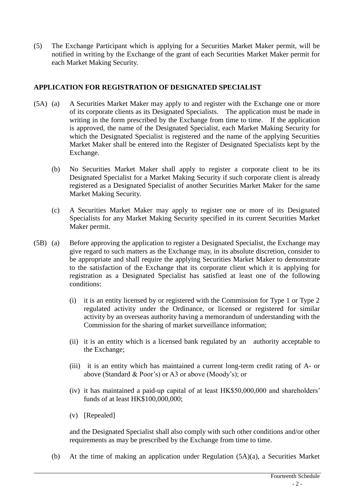(5) The Exchange Participant which is applying for a Securities Market Maker permit, will be notified in writing by the Exchange of the grant of each Securities Market Maker permit for each Market Making Security.

### **APPLICATION FOR REGISTRATION OF DESIGNATED SPECIALIST**

- (5A) (a) A Securities Market Maker may apply to and register with the Exchange one or more of its corporate clients as its Designated Specialists. The application must be made in writing in the form prescribed by the Exchange from time to time. If the application is approved, the name of the Designated Specialist, each Market Making Security for which the Designated Specialist is registered and the name of the applying Securities Market Maker shall be entered into the Register of Designated Specialists kept by the Exchange.
	- (b) No Securities Market Maker shall apply to register a corporate client to be its Designated Specialist for a Market Making Security if such corporate client is already registered as a Designated Specialist of another Securities Market Maker for the same Market Making Security.
	- (c) A Securities Market Maker may apply to register one or more of its Designated Specialists for any Market Making Security specified in its current Securities Market Maker permit.
- (5B) (a) Before approving the application to register a Designated Specialist, the Exchange may give regard to such matters as the Exchange may, in its absolute discretion, consider to be appropriate and shall require the applying Securities Market Maker to demonstrate to the satisfaction of the Exchange that its corporate client which it is applying for registration as a Designated Specialist has satisfied at least one of the following conditions:
	- (i) it is an entity licensed by or registered with the Commission for Type 1 or Type 2 regulated activity under the Ordinance, or licensed or registered for similar activity by an overseas authority having a memorandum of understanding with the Commission for the sharing of market surveillance information;
	- (ii) it is an entity which is a licensed bank regulated by an authority acceptable to the Exchange;
	- (iii) it is an entity which has maintained a current long-term credit rating of A- or above (Standard & Poor's) or A3 or above (Moody's); or
	- (iv) it has maintained a paid-up capital of at least HK\$50,000,000 and shareholders' funds of at least HK\$100,000,000;
	- (v) [Repealed]

and the Designated Specialist shall also comply with such other conditions and/or other requirements as may be prescribed by the Exchange from time to time.

(b) At the time of making an application under Regulation (5A)(a), a Securities Market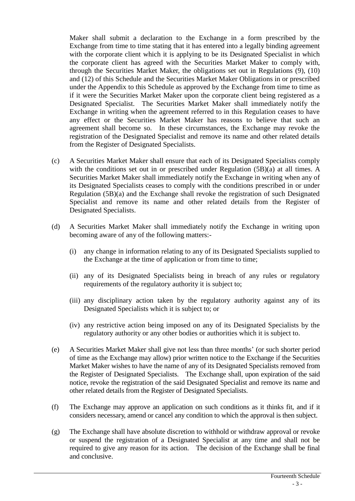Maker shall submit a declaration to the Exchange in a form prescribed by the Exchange from time to time stating that it has entered into a legally binding agreement with the corporate client which it is applying to be its Designated Specialist in which the corporate client has agreed with the Securities Market Maker to comply with, through the Securities Market Maker, the obligations set out in Regulations (9), (10) and (12) of this Schedule and the Securities Market Maker Obligations in or prescribed under the Appendix to this Schedule as approved by the Exchange from time to time as if it were the Securities Market Maker upon the corporate client being registered as a Designated Specialist. The Securities Market Maker shall immediately notify the Exchange in writing when the agreement referred to in this Regulation ceases to have any effect or the Securities Market Maker has reasons to believe that such an agreement shall become so. In these circumstances, the Exchange may revoke the registration of the Designated Specialist and remove its name and other related details from the Register of Designated Specialists.

- (c) A Securities Market Maker shall ensure that each of its Designated Specialists comply with the conditions set out in or prescribed under Regulation (5B)(a) at all times. A Securities Market Maker shall immediately notify the Exchange in writing when any of its Designated Specialists ceases to comply with the conditions prescribed in or under Regulation (5B)(a) and the Exchange shall revoke the registration of such Designated Specialist and remove its name and other related details from the Register of Designated Specialists.
- (d) A Securities Market Maker shall immediately notify the Exchange in writing upon becoming aware of any of the following matters:-
	- (i) any change in information relating to any of its Designated Specialists supplied to the Exchange at the time of application or from time to time;
	- (ii) any of its Designated Specialists being in breach of any rules or regulatory requirements of the regulatory authority it is subject to;
	- (iii) any disciplinary action taken by the regulatory authority against any of its Designated Specialists which it is subject to; or
	- (iv) any restrictive action being imposed on any of its Designated Specialists by the regulatory authority or any other bodies or authorities which it is subject to.
- (e) A Securities Market Maker shall give not less than three months' (or such shorter period of time as the Exchange may allow) prior written notice to the Exchange if the Securities Market Maker wishes to have the name of any of its Designated Specialists removed from the Register of Designated Specialists. The Exchange shall, upon expiration of the said notice, revoke the registration of the said Designated Specialist and remove its name and other related details from the Register of Designated Specialists.
- (f) The Exchange may approve an application on such conditions as it thinks fit, and if it considers necessary, amend or cancel any condition to which the approval is then subject.
- (g) The Exchange shall have absolute discretion to withhold or withdraw approval or revoke or suspend the registration of a Designated Specialist at any time and shall not be required to give any reason for its action. The decision of the Exchange shall be final and conclusive.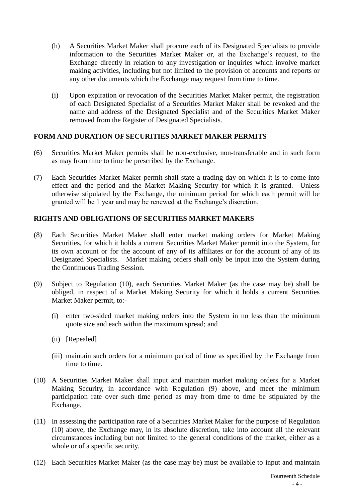- (h) A Securities Market Maker shall procure each of its Designated Specialists to provide information to the Securities Market Maker or, at the Exchange's request, to the Exchange directly in relation to any investigation or inquiries which involve market making activities, including but not limited to the provision of accounts and reports or any other documents which the Exchange may request from time to time.
- (i) Upon expiration or revocation of the Securities Market Maker permit, the registration of each Designated Specialist of a Securities Market Maker shall be revoked and the name and address of the Designated Specialist and of the Securities Market Maker removed from the Register of Designated Specialists.

# **FORM AND DURATION OF SECURITIES MARKET MAKER PERMITS**

- (6) Securities Market Maker permits shall be non-exclusive, non-transferable and in such form as may from time to time be prescribed by the Exchange.
- (7) Each Securities Market Maker permit shall state a trading day on which it is to come into effect and the period and the Market Making Security for which it is granted. Unless otherwise stipulated by the Exchange, the minimum period for which each permit will be granted will be 1 year and may be renewed at the Exchange's discretion.

## **RIGHTS AND OBLIGATIONS OF SECURITIES MARKET MAKERS**

- (8) Each Securities Market Maker shall enter market making orders for Market Making Securities, for which it holds a current Securities Market Maker permit into the System, for its own account or for the account of any of its affiliates or for the account of any of its Designated Specialists. Market making orders shall only be input into the System during the Continuous Trading Session.
- (9) Subject to Regulation (10), each Securities Market Maker (as the case may be) shall be obliged, in respect of a Market Making Security for which it holds a current Securities Market Maker permit, to:-
	- (i) enter two-sided market making orders into the System in no less than the minimum quote size and each within the maximum spread; and
	- (ii) [Repealed]
	- (iii) maintain such orders for a minimum period of time as specified by the Exchange from time to time.
- (10) A Securities Market Maker shall input and maintain market making orders for a Market Making Security, in accordance with Regulation (9) above, and meet the minimum participation rate over such time period as may from time to time be stipulated by the Exchange.
- (11) In assessing the participation rate of a Securities Market Maker for the purpose of Regulation (10) above, the Exchange may, in its absolute discretion, take into account all the relevant circumstances including but not limited to the general conditions of the market, either as a whole or of a specific security.
- (12) Each Securities Market Maker (as the case may be) must be available to input and maintain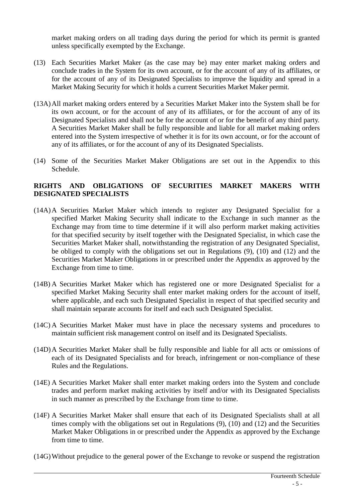market making orders on all trading days during the period for which its permit is granted unless specifically exempted by the Exchange.

- (13) Each Securities Market Maker (as the case may be) may enter market making orders and conclude trades in the System for its own account, or for the account of any of its affiliates, or for the account of any of its Designated Specialists to improve the liquidity and spread in a Market Making Security for which it holds a current Securities Market Maker permit.
- (13A)All market making orders entered by a Securities Market Maker into the System shall be for its own account, or for the account of any of its affiliates, or for the account of any of its Designated Specialists and shall not be for the account of or for the benefit of any third party. A Securities Market Maker shall be fully responsible and liable for all market making orders entered into the System irrespective of whether it is for its own account, or for the account of any of its affiliates, or for the account of any of its Designated Specialists.
- (14) Some of the Securities Market Maker Obligations are set out in the Appendix to this Schedule.

### **RIGHTS AND OBLIGATIONS OF SECURITIES MARKET MAKERS WITH DESIGNATED SPECIALISTS**

- (14A)A Securities Market Maker which intends to register any Designated Specialist for a specified Market Making Security shall indicate to the Exchange in such manner as the Exchange may from time to time determine if it will also perform market making activities for that specified security by itself together with the Designated Specialist, in which case the Securities Market Maker shall, notwithstanding the registration of any Designated Specialist, be obliged to comply with the obligations set out in Regulations (9), (10) and (12) and the Securities Market Maker Obligations in or prescribed under the Appendix as approved by the Exchange from time to time.
- (14B) A Securities Market Maker which has registered one or more Designated Specialist for a specified Market Making Security shall enter market making orders for the account of itself, where applicable, and each such Designated Specialist in respect of that specified security and shall maintain separate accounts for itself and each such Designated Specialist.
- (14C) A Securities Market Maker must have in place the necessary systems and procedures to maintain sufficient risk management control on itself and its Designated Specialists.
- (14D)A Securities Market Maker shall be fully responsible and liable for all acts or omissions of each of its Designated Specialists and for breach, infringement or non-compliance of these Rules and the Regulations.
- (14E) A Securities Market Maker shall enter market making orders into the System and conclude trades and perform market making activities by itself and/or with its Designated Specialists in such manner as prescribed by the Exchange from time to time.
- (14F) A Securities Market Maker shall ensure that each of its Designated Specialists shall at all times comply with the obligations set out in Regulations (9), (10) and (12) and the Securities Market Maker Obligations in or prescribed under the Appendix as approved by the Exchange from time to time.
- (14G)Without prejudice to the general power of the Exchange to revoke or suspend the registration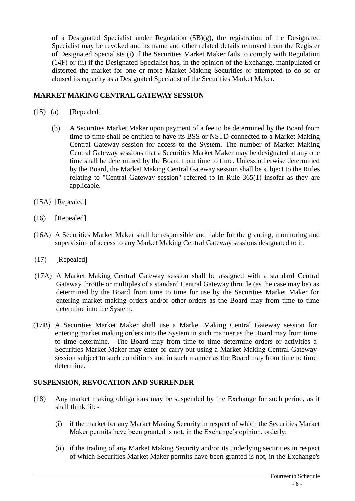of a Designated Specialist under Regulation  $(5B)(g)$ , the registration of the Designated Specialist may be revoked and its name and other related details removed from the Register of Designated Specialists (i) if the Securities Market Maker fails to comply with Regulation (14F) or (ii) if the Designated Specialist has, in the opinion of the Exchange, manipulated or distorted the market for one or more Market Making Securities or attempted to do so or abused its capacity as a Designated Specialist of the Securities Market Maker.

# **MARKET MAKING CENTRAL GATEWAY SESSION**

- (15) (a) [Repealed]
	- (b) A Securities Market Maker upon payment of a fee to be determined by the Board from time to time shall be entitled to have its BSS or NSTD connected to a Market Making Central Gateway session for access to the System. The number of Market Making Central Gateway sessions that a Securities Market Maker may be designated at any one time shall be determined by the Board from time to time. Unless otherwise determined by the Board, the Market Making Central Gateway session shall be subject to the Rules relating to "Central Gateway session" referred to in Rule 365(1) insofar as they are applicable.
- (15A) [Repealed]
- (16) [Repealed]
- (16A) A Securities Market Maker shall be responsible and liable for the granting, monitoring and supervision of access to any Market Making Central Gateway sessions designated to it.
- (17) [Repealed]
- (17A) A Market Making Central Gateway session shall be assigned with a standard Central Gateway throttle or multiples of a standard Central Gateway throttle (as the case may be) as determined by the Board from time to time for use by the Securities Market Maker for entering market making orders and/or other orders as the Board may from time to time determine into the System.
- (17B) A Securities Market Maker shall use a Market Making Central Gateway session for entering market making orders into the System in such manner as the Board may from time to time determine. The Board may from time to time determine orders or activities a Securities Market Maker may enter or carry out using a Market Making Central Gateway session subject to such conditions and in such manner as the Board may from time to time determine.

#### **SUSPENSION, REVOCATION AND SURRENDER**

- (18) Any market making obligations may be suspended by the Exchange for such period, as it shall think fit: -
	- (i) if the market for any Market Making Security in respect of which the Securities Market Maker permits have been granted is not, in the Exchange's opinion, orderly;
	- (ii) if the trading of any Market Making Security and/or its underlying securities in respect of which Securities Market Maker permits have been granted is not, in the Exchange's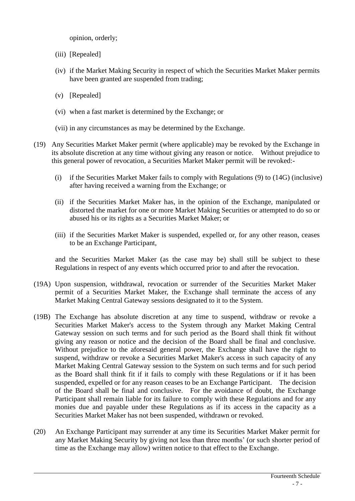opinion, orderly;

- (iii) [Repealed]
- (iv) if the Market Making Security in respect of which the Securities Market Maker permits have been granted are suspended from trading;
- (v) [Repealed]
- (vi) when a fast market is determined by the Exchange; or
- (vii) in any circumstances as may be determined by the Exchange.
- (19) Any Securities Market Maker permit (where applicable) may be revoked by the Exchange in its absolute discretion at any time without giving any reason or notice. Without prejudice to this general power of revocation, a Securities Market Maker permit will be revoked:-
	- (i) if the Securities Market Maker fails to comply with Regulations (9) to (14G) (inclusive) after having received a warning from the Exchange; or
	- (ii) if the Securities Market Maker has, in the opinion of the Exchange, manipulated or distorted the market for one or more Market Making Securities or attempted to do so or abused his or its rights as a Securities Market Maker; or
	- (iii) if the Securities Market Maker is suspended, expelled or, for any other reason, ceases to be an Exchange Participant,

and the Securities Market Maker (as the case may be) shall still be subject to these Regulations in respect of any events which occurred prior to and after the revocation.

- (19A) Upon suspension, withdrawal, revocation or surrender of the Securities Market Maker permit of a Securities Market Maker, the Exchange shall terminate the access of any Market Making Central Gateway sessions designated to it to the System.
- (19B) The Exchange has absolute discretion at any time to suspend, withdraw or revoke a Securities Market Maker's access to the System through any Market Making Central Gateway session on such terms and for such period as the Board shall think fit without giving any reason or notice and the decision of the Board shall be final and conclusive. Without prejudice to the aforesaid general power, the Exchange shall have the right to suspend, withdraw or revoke a Securities Market Maker's access in such capacity of any Market Making Central Gateway session to the System on such terms and for such period as the Board shall think fit if it fails to comply with these Regulations or if it has been suspended, expelled or for any reason ceases to be an Exchange Participant. The decision of the Board shall be final and conclusive. For the avoidance of doubt, the Exchange Participant shall remain liable for its failure to comply with these Regulations and for any monies due and payable under these Regulations as if its access in the capacity as a Securities Market Maker has not been suspended, withdrawn or revoked.
- (20) An Exchange Participant may surrender at any time its Securities Market Maker permit for any Market Making Security by giving not less than three months' (or such shorter period of time as the Exchange may allow) written notice to that effect to the Exchange.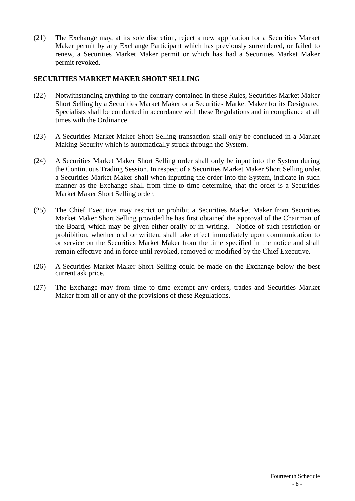(21) The Exchange may, at its sole discretion, reject a new application for a Securities Market Maker permit by any Exchange Participant which has previously surrendered, or failed to renew, a Securities Market Maker permit or which has had a Securities Market Maker permit revoked.

### **SECURITIES MARKET MAKER SHORT SELLING**

- (22) Notwithstanding anything to the contrary contained in these Rules, Securities Market Maker Short Selling by a Securities Market Maker or a Securities Market Maker for its Designated Specialists shall be conducted in accordance with these Regulations and in compliance at all times with the Ordinance.
- (23) A Securities Market Maker Short Selling transaction shall only be concluded in a Market Making Security which is automatically struck through the System.
- (24) A Securities Market Maker Short Selling order shall only be input into the System during the Continuous Trading Session. In respect of a Securities Market Maker Short Selling order, a Securities Market Maker shall when inputting the order into the System, indicate in such manner as the Exchange shall from time to time determine, that the order is a Securities Market Maker Short Selling order.
- (25) The Chief Executive may restrict or prohibit a Securities Market Maker from Securities Market Maker Short Selling provided he has first obtained the approval of the Chairman of the Board, which may be given either orally or in writing. Notice of such restriction or prohibition, whether oral or written, shall take effect immediately upon communication to or service on the Securities Market Maker from the time specified in the notice and shall remain effective and in force until revoked, removed or modified by the Chief Executive.
- (26) A Securities Market Maker Short Selling could be made on the Exchange below the best current ask price.
- (27) The Exchange may from time to time exempt any orders, trades and Securities Market Maker from all or any of the provisions of these Regulations.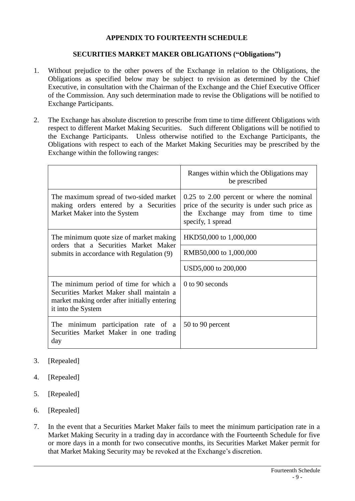## **APPENDIX TO FOURTEENTH SCHEDULE**

#### **SECURITIES MARKET MAKER OBLIGATIONS ("Obligations")**

- 1. Without prejudice to the other powers of the Exchange in relation to the Obligations, the Obligations as specified below may be subject to revision as determined by the Chief Executive, in consultation with the Chairman of the Exchange and the Chief Executive Officer of the Commission. Any such determination made to revise the Obligations will be notified to Exchange Participants.
- 2. The Exchange has absolute discretion to prescribe from time to time different Obligations with respect to different Market Making Securities. Such different Obligations will be notified to the Exchange Participants. Unless otherwise notified to the Exchange Participants, the Obligations with respect to each of the Market Making Securities may be prescribed by the Exchange within the following ranges:

|                                                                                                                                                          | Ranges within which the Obligations may<br>be prescribed                                                                                                 |
|----------------------------------------------------------------------------------------------------------------------------------------------------------|----------------------------------------------------------------------------------------------------------------------------------------------------------|
| The maximum spread of two-sided market<br>making orders entered by a Securities<br>Market Maker into the System                                          | $0.25$ to $2.00$ percent or where the nominal<br>price of the security is under such price as<br>the Exchange may from time to time<br>specify, 1 spread |
| The minimum quote size of market making<br>orders that a Securities Market Maker<br>submits in accordance with Regulation (9)                            | HKD50,000 to 1,000,000                                                                                                                                   |
|                                                                                                                                                          | RMB50,000 to 1,000,000                                                                                                                                   |
|                                                                                                                                                          | USD5,000 to 200,000                                                                                                                                      |
| The minimum period of time for which a<br>Securities Market Maker shall maintain a<br>market making order after initially entering<br>it into the System | 0 to 90 seconds                                                                                                                                          |
| The minimum participation rate of a<br>Securities Market Maker in one trading<br>day                                                                     | 50 to 90 percent                                                                                                                                         |

- 3. [Repealed]
- 4. [Repealed]
- 5. [Repealed]
- 6. [Repealed]
- 7. In the event that a Securities Market Maker fails to meet the minimum participation rate in a Market Making Security in a trading day in accordance with the Fourteenth Schedule for five or more days in a month for two consecutive months, its Securities Market Maker permit for that Market Making Security may be revoked at the Exchange's discretion.